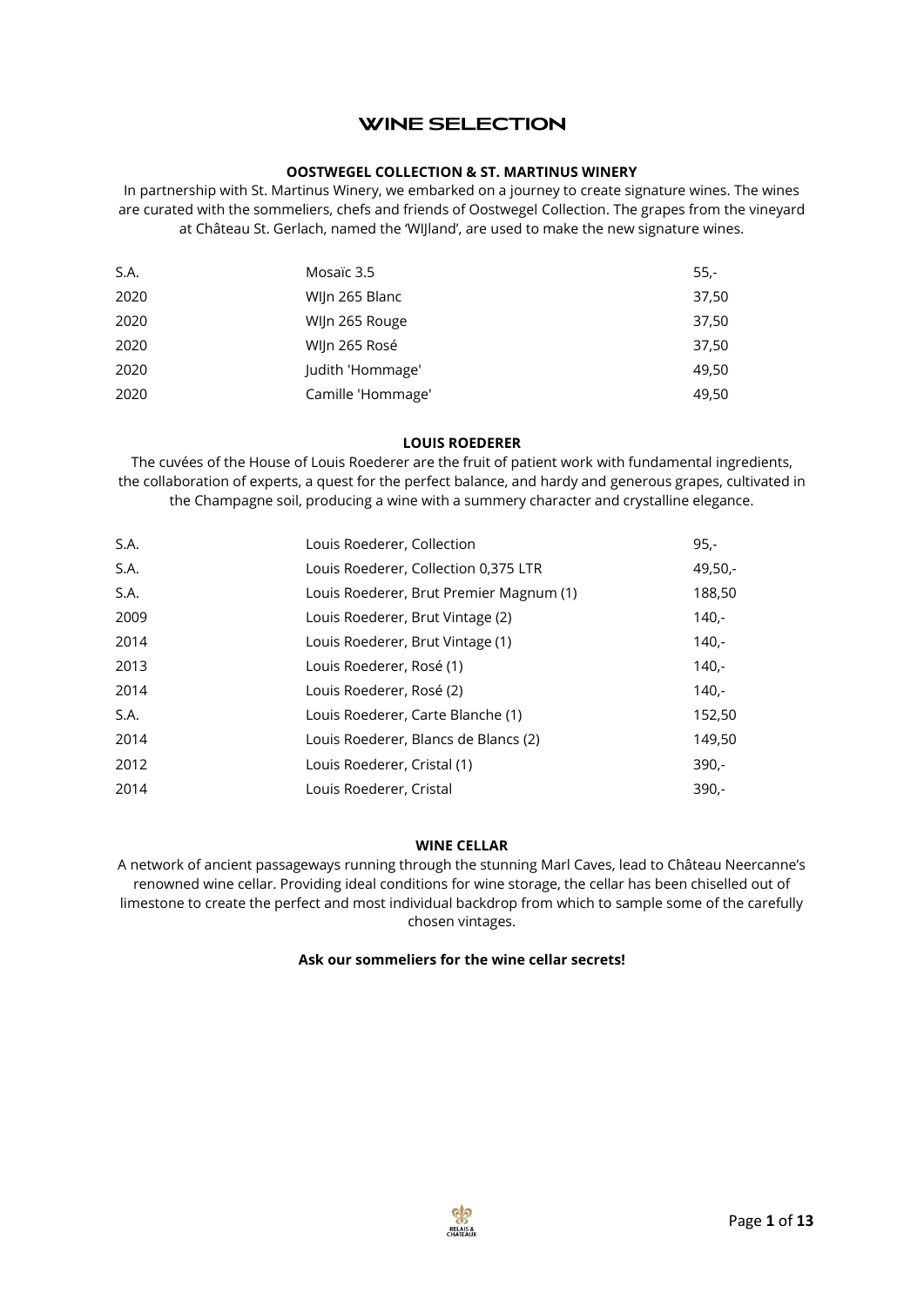# **WINE SELECTION**

## **OOSTWEGEL COLLECTION & ST. MARTINUS WINERY**

In partnership with St. Martinus Winery, we embarked on a journey to create signature wines. The wines are curated with the sommeliers, chefs and friends of Oostwegel Collection. The grapes from the vineyard at Château St. Gerlach, named the 'WIJland', are used to make the new signature wines.

| S.A. | Mosaïc 3.5        | $55 -$ |
|------|-------------------|--------|
| 2020 | WIJn 265 Blanc    | 37,50  |
| 2020 | Wijn 265 Rouge    | 37,50  |
| 2020 | WIJn 265 Rosé     | 37,50  |
| 2020 | Judith 'Hommage'  | 49,50  |
| 2020 | Camille 'Hommage' | 49,50  |

#### **LOUIS ROEDERER**

The cuvées of the House of Louis Roederer are the fruit of patient work with fundamental ingredients, the collaboration of experts, a quest for the perfect balance, and hardy and generous grapes, cultivated in the Champagne soil, producing a wine with a summery character and crystalline elegance.

| S.A. | Louis Roederer, Collection              | $95 -$    |
|------|-----------------------------------------|-----------|
| S.A. | Louis Roederer, Collection 0,375 LTR    | $49,50,-$ |
| S.A. | Louis Roederer, Brut Premier Magnum (1) | 188,50    |
| 2009 | Louis Roederer, Brut Vintage (2)        | $140 -$   |
| 2014 | Louis Roederer, Brut Vintage (1)        | $140 -$   |
| 2013 | Louis Roederer, Rosé (1)                | $140 -$   |
| 2014 | Louis Roederer, Rosé (2)                | $140 -$   |
| S.A. | Louis Roederer, Carte Blanche (1)       | 152,50    |
| 2014 | Louis Roederer, Blancs de Blancs (2)    | 149,50    |
| 2012 | Louis Roederer, Cristal (1)             | $390 -$   |
| 2014 | Louis Roederer, Cristal                 | $390 -$   |

#### **WINE CELLAR**

A network of ancient passageways running through the stunning Marl Caves, lead to Château Neercanne's renowned wine cellar. Providing ideal conditions for wine storage, the cellar has been chiselled out of limestone to create the perfect and most individual backdrop from which to sample some of the carefully chosen vintages.

#### **Ask our sommeliers for the wine cellar secrets!**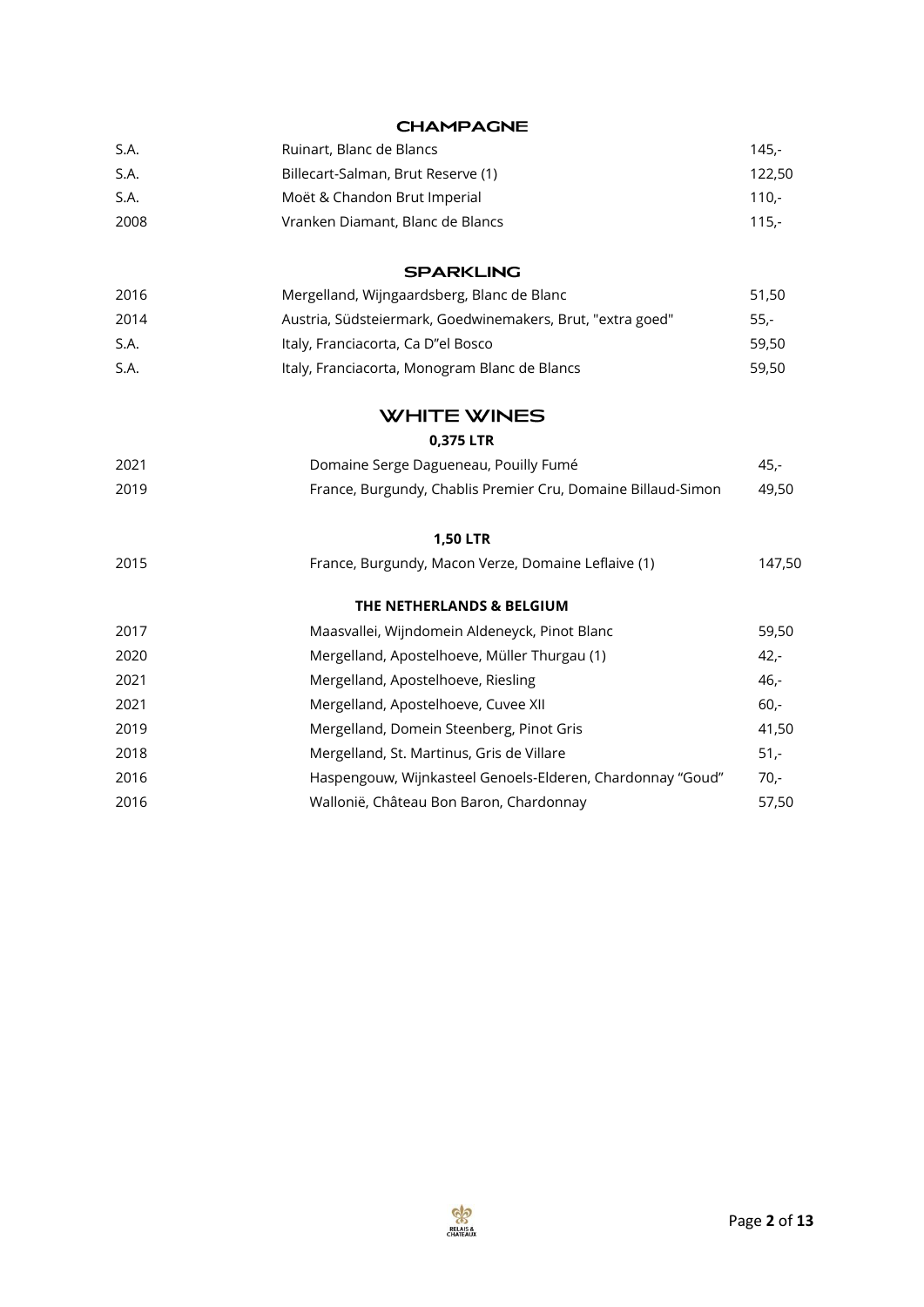| S.A. | Ruinart, Blanc de Blancs                                     | $145,-$ |
|------|--------------------------------------------------------------|---------|
| S.A. | Billecart-Salman, Brut Reserve (1)                           | 122,50  |
| S.A. | Moët & Chandon Brut Imperial                                 | $110,-$ |
| 2008 | Vranken Diamant, Blanc de Blancs                             | $115,-$ |
|      | <b>SPARKLING</b>                                             |         |
| 2016 | Mergelland, Wijngaardsberg, Blanc de Blanc                   | 51,50   |
| 2014 | Austria, Südsteiermark, Goedwinemakers, Brut, "extra goed"   | $55 -$  |
| S.A. | Italy, Franciacorta, Ca D"el Bosco                           | 59,50   |
| S.A. | Italy, Franciacorta, Monogram Blanc de Blancs                | 59,50   |
|      | <b>WHITE WINES</b>                                           |         |
|      | 0,375 LTR                                                    |         |
| 2021 | Domaine Serge Dagueneau, Pouilly Fumé                        | 45,-    |
| 2019 | France, Burgundy, Chablis Premier Cru, Domaine Billaud-Simon | 49,50   |
|      | <b>1,50 LTR</b>                                              |         |
| 2015 | France, Burgundy, Macon Verze, Domaine Leflaive (1)          | 147,50  |
|      | THE NETHERLANDS & BELGIUM                                    |         |
| 2017 | Maasvallei, Wijndomein Aldeneyck, Pinot Blanc                | 59,50   |
| 2020 | Mergelland, Apostelhoeve, Müller Thurgau (1)                 | $42 -$  |
| 2021 | Mergelland, Apostelhoeve, Riesling                           | $46,-$  |
| 2021 | Mergelland, Apostelhoeve, Cuvee XII                          | $60 -$  |
| 2019 | Mergelland, Domein Steenberg, Pinot Gris                     | 41,50   |
| 2018 | Mergelland, St. Martinus, Gris de Villare                    | $51,-$  |
| 2016 | Haspengouw, Wijnkasteel Genoels-Elderen, Chardonnay "Goud"   | $70,-$  |
| 2016 | Wallonië, Château Bon Baron, Chardonnay                      | 57,50   |
|      |                                                              |         |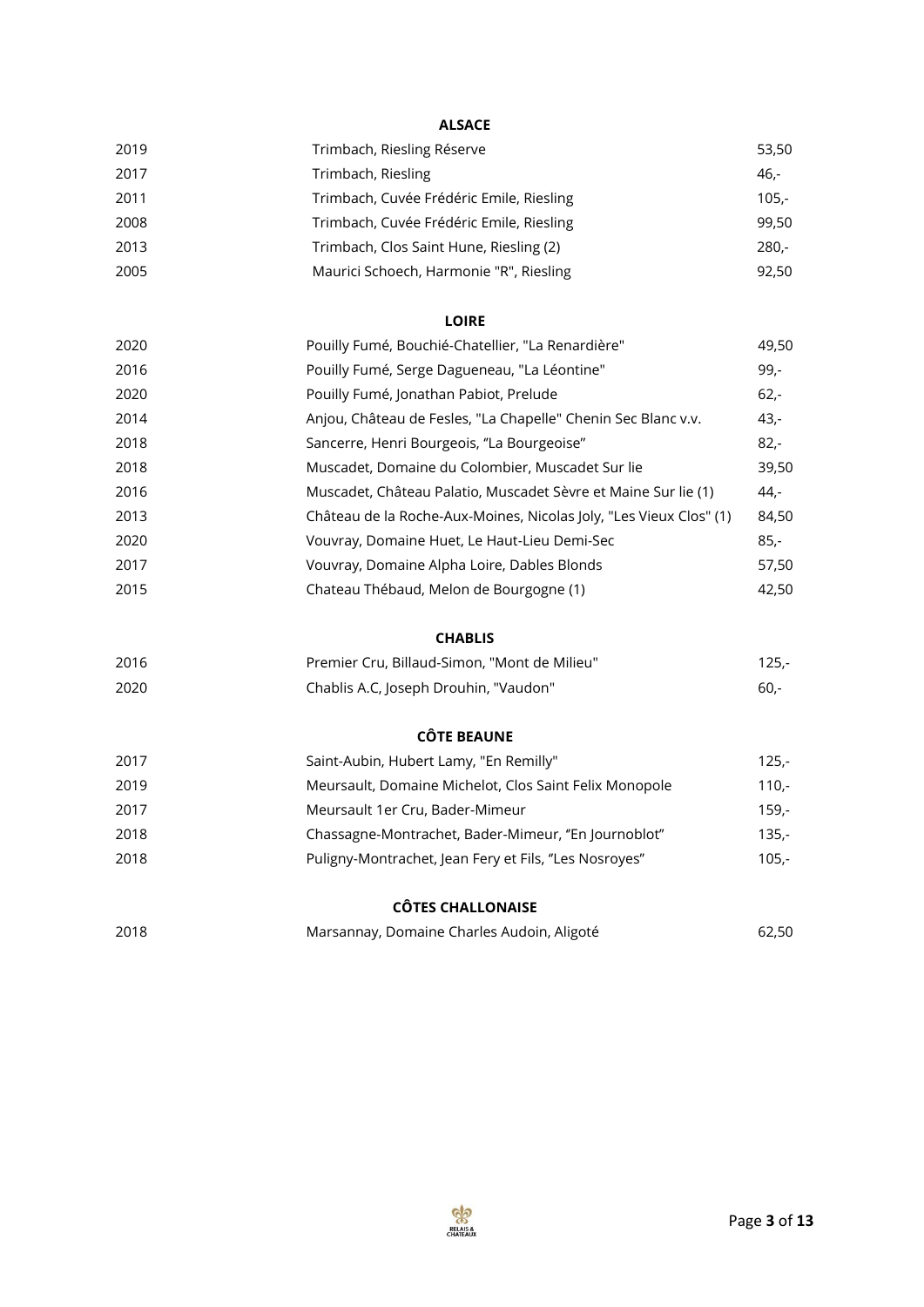# **ALSACE**

| 2019 | Trimbach, Riesling Réserve               | 53,50   |
|------|------------------------------------------|---------|
| 2017 | Trimbach, Riesling                       | 46,-    |
| 2011 | Trimbach, Cuvée Frédéric Emile, Riesling | $105 -$ |
| 2008 | Trimbach, Cuvée Frédéric Emile, Riesling | 99,50   |
| 2013 | Trimbach, Clos Saint Hune, Riesling (2)  | $280 -$ |
| 2005 | Maurici Schoech, Harmonie "R", Riesling  | 92,50   |
|      |                                          |         |

### **LOIRE**

| 2020 | Pouilly Fumé, Bouchié-Chatellier, "La Renardière"                  | 49,50  |
|------|--------------------------------------------------------------------|--------|
| 2016 | Pouilly Fumé, Serge Dagueneau, "La Léontine"                       | 99,-   |
| 2020 | Pouilly Fumé, Jonathan Pabiot, Prelude                             | $62 -$ |
| 2014 | Anjou, Château de Fesles, "La Chapelle" Chenin Sec Blanc v.v.      | $43,-$ |
| 2018 | Sancerre, Henri Bourgeois, "La Bourgeoise"                         | $82 -$ |
| 2018 | Muscadet, Domaine du Colombier, Muscadet Sur lie                   | 39,50  |
| 2016 | Muscadet, Château Palatio, Muscadet Sèvre et Maine Sur lie (1)     | $44 -$ |
| 2013 | Château de la Roche-Aux-Moines, Nicolas Joly, "Les Vieux Clos" (1) | 84,50  |
| 2020 | Vouvray, Domaine Huet, Le Haut-Lieu Demi-Sec                       | $85 -$ |
| 2017 | Vouvray, Domaine Alpha Loire, Dables Blonds                        | 57,50  |
| 2015 | Chateau Thébaud, Melon de Bourgogne (1)                            | 42,50  |

# **CHABLIS**

| 2016 | Premier Cru, Billaud-Simon, "Mont de Milieu" | 125.- |
|------|----------------------------------------------|-------|
| 2020 | Chablis A.C, Joseph Drouhin, "Vaudon"        | -60.- |

### **CÔTE BEAUNE**

| 2017 | Saint-Aubin, Hubert Lamy, "En Remilly"                 | $125 -$  |
|------|--------------------------------------------------------|----------|
| 2019 | Meursault, Domaine Michelot, Clos Saint Felix Monopole | $110.-$  |
| 2017 | Meursault 1er Cru, Bader-Mimeur                        | $159. -$ |
| 2018 | Chassagne-Montrachet, Bader-Mimeur, "En Journoblot"    | $135 -$  |
| 2018 | Puligny-Montrachet, Jean Fery et Fils, "Les Nosroyes"  | $105 -$  |

#### **CÔTES CHALLONAISE**

| 2018 | Marsannay, Domaine Charles Audoin, Aligoté | 62,50 |
|------|--------------------------------------------|-------|
|      |                                            |       |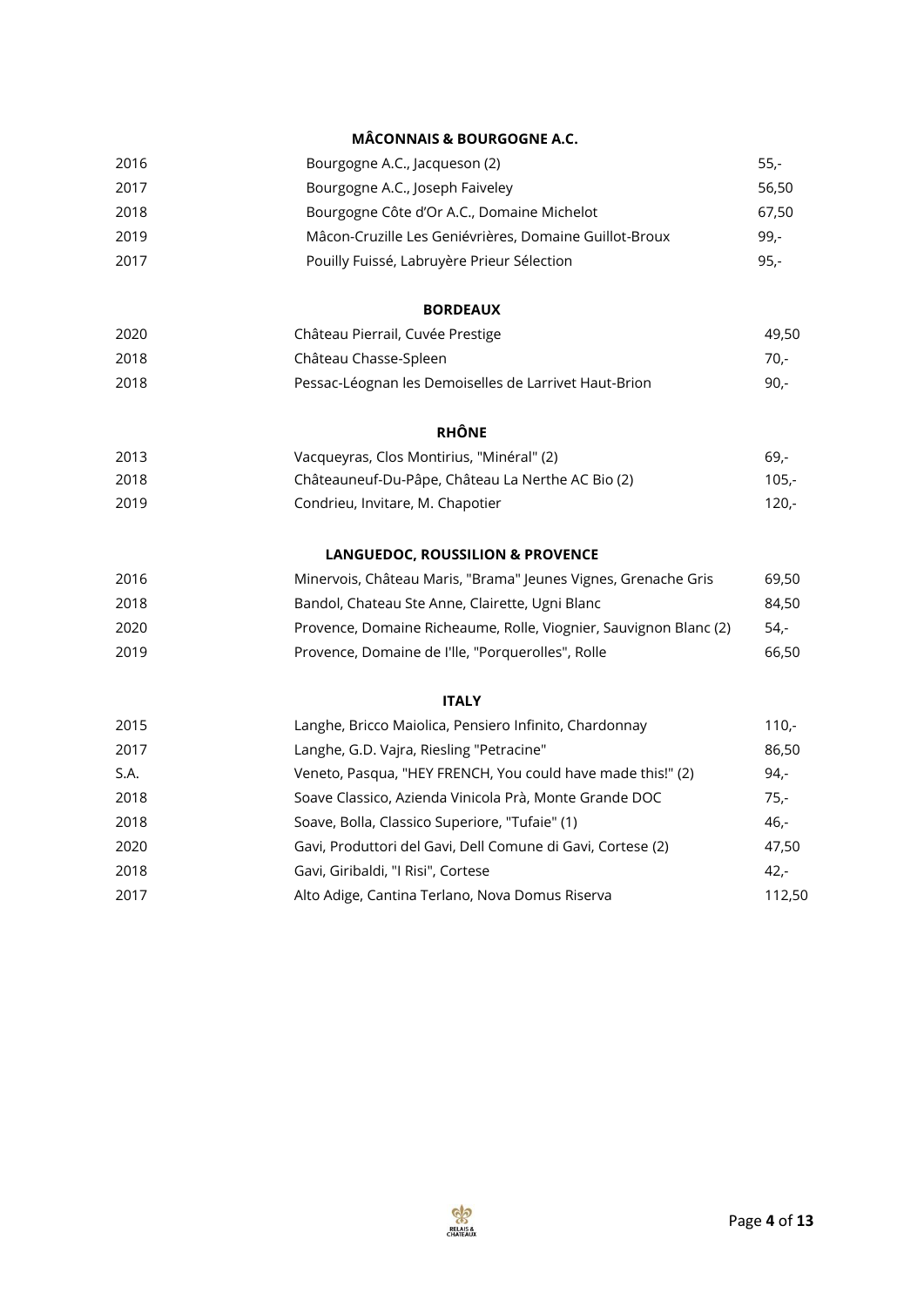# **MÂCONNAIS & BOURGOGNE A.C.**

|      | .com.n.com & bookgoon.c                                           |         |
|------|-------------------------------------------------------------------|---------|
| 2016 | Bourgogne A.C., Jacqueson (2)                                     | $55,-$  |
| 2017 | Bourgogne A.C., Joseph Faiveley                                   | 56,50   |
| 2018 | Bourgogne Côte d'Or A.C., Domaine Michelot                        | 67,50   |
| 2019 | Mâcon-Cruzille Les Geniévrières, Domaine Guillot-Broux            | $99 -$  |
| 2017 | Pouilly Fuissé, Labruyère Prieur Sélection                        | $95 -$  |
|      | <b>BORDEAUX</b>                                                   |         |
| 2020 | Château Pierrail, Cuvée Prestige                                  | 49,50   |
| 2018 | Château Chasse-Spleen                                             | $70,-$  |
| 2018 | Pessac-Léognan les Demoiselles de Larrivet Haut-Brion             | $90 -$  |
|      | <b>RHÔNE</b>                                                      |         |
| 2013 | Vacqueyras, Clos Montirius, "Minéral" (2)                         | $69 -$  |
| 2018 | Châteauneuf-Du-Pâpe, Château La Nerthe AC Bio (2)                 | $105,-$ |
| 2019 | Condrieu, Invitare, M. Chapotier                                  | $120 -$ |
|      | LANGUEDOC, ROUSSILION & PROVENCE                                  |         |
| 2016 | Minervois, Château Maris, "Brama" Jeunes Vignes, Grenache Gris    | 69,50   |
| 2018 | Bandol, Chateau Ste Anne, Clairette, Ugni Blanc                   | 84,50   |
| 2020 | Provence, Domaine Richeaume, Rolle, Viognier, Sauvignon Blanc (2) | $54,-$  |
| 2019 | Provence, Domaine de l'Ile, "Porquerolles", Rolle                 | 66,50   |
|      | <b>ITALY</b>                                                      |         |
| 2015 | Langhe, Bricco Maiolica, Pensiero Infinito, Chardonnay            | $110,-$ |
| 2017 | Langhe, G.D. Vajra, Riesling "Petracine"                          | 86,50   |
| S.A. | Veneto, Pasqua, "HEY FRENCH, You could have made this!" (2)       | $94 -$  |
| 2018 | Soave Classico, Azienda Vinicola Prà, Monte Grande DOC            | $75 -$  |
| 2018 | Soave, Bolla, Classico Superiore, "Tufaie" (1)                    | $46,-$  |
| 2020 | Gavi, Produttori del Gavi, Dell Comune di Gavi, Cortese (2)       | 47,50   |
| 2018 | Gavi, Giribaldi, "I Risi", Cortese                                | $42 -$  |
| 2017 | Alto Adige, Cantina Terlano, Nova Domus Riserva                   | 112,50  |

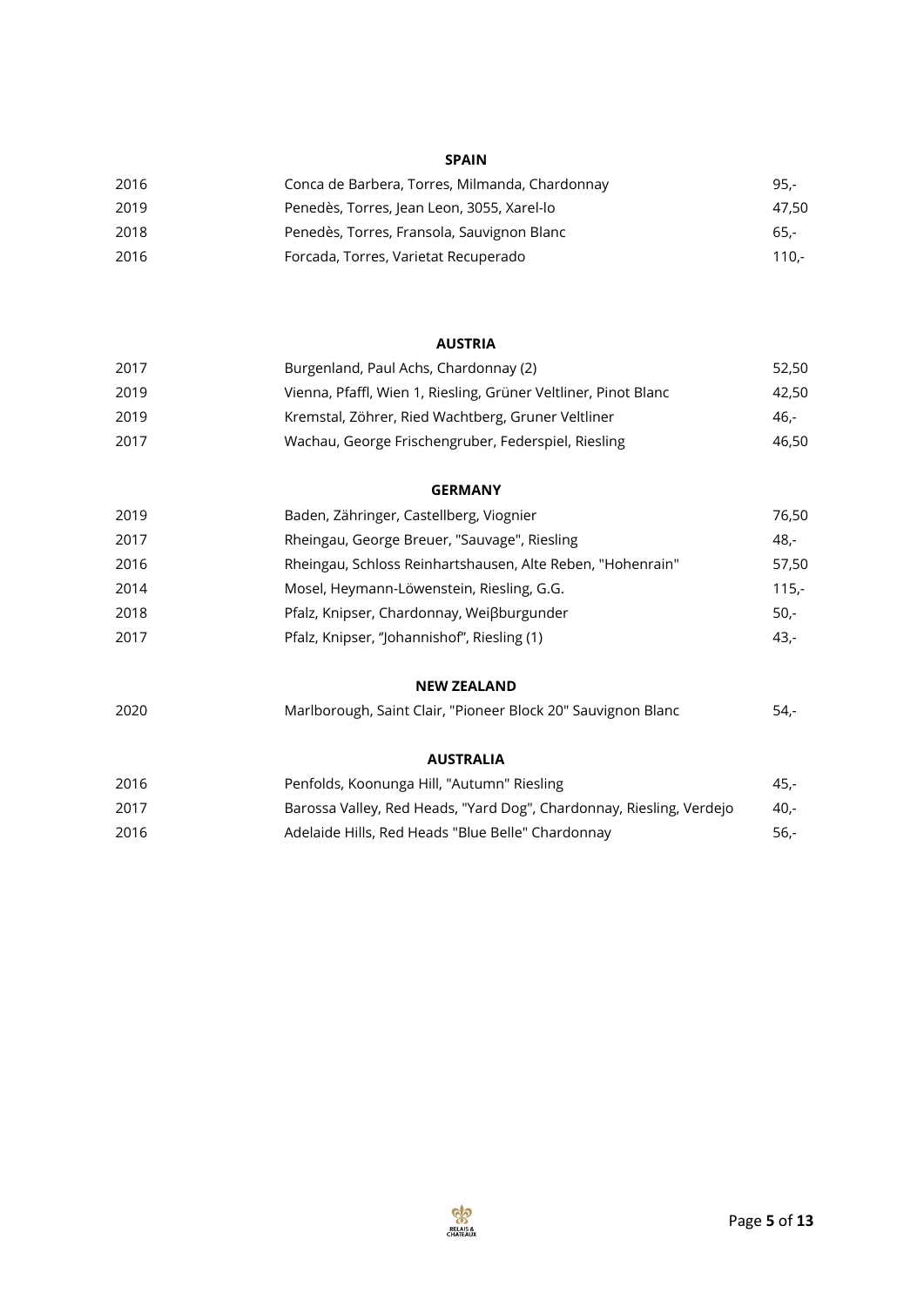# **SPAIN**

| 2016 | Conca de Barbera, Torres, Milmanda, Chardonnay | $95 -$  |
|------|------------------------------------------------|---------|
| 2019 | Penedès, Torres, Jean Leon, 3055, Xarel-lo     | 47.50   |
| 2018 | Penedès, Torres, Fransola, Sauvignon Blanc     | $65. -$ |
| 2016 | Forcada, Torres, Varietat Recuperado           | 110.-   |

#### **AUSTRIA**

| 2017 | Burgenland, Paul Achs, Chardonnay (2)                           | 52.50 |
|------|-----------------------------------------------------------------|-------|
| 2019 | Vienna, Pfaffl, Wien 1, Riesling, Grüner Veltliner, Pinot Blanc | 42.50 |
| 2019 | Kremstal, Zöhrer, Ried Wachtberg, Gruner Veltliner              | -46.  |
| 2017 | Wachau, George Frischengruber, Federspiel, Riesling             | 46.50 |

#### **GERMANY**

| 2019 | Baden, Zähringer, Castellberg, Viognier                    | 76.50   |
|------|------------------------------------------------------------|---------|
| 2017 | Rheingau, George Breuer, "Sauvage", Riesling               | 48.-    |
| 2016 | Rheingau, Schloss Reinhartshausen, Alte Reben, "Hohenrain" | 57.50   |
| 2014 | Mosel, Heymann-Löwenstein, Riesling, G.G.                  | 115,-   |
| 2018 | Pfalz, Knipser, Chardonnay, Weißburgunder                  | $50 -$  |
| 2017 | Pfalz, Knipser, "Johannishof", Riesling (1)                | $43. -$ |

# **NEW ZEALAND**

| 2020 | Marlborough, Saint Clair, "Pioneer Block 20" Sauvignon Blanc | 54,- |
|------|--------------------------------------------------------------|------|
|------|--------------------------------------------------------------|------|

# **AUSTRALIA**

| 2016 | Penfolds, Koonunga Hill, "Autumn" Riesling                           | $45. -$ |
|------|----------------------------------------------------------------------|---------|
| 2017 | Barossa Valley, Red Heads, "Yard Dog", Chardonnay, Riesling, Verdejo | -40.    |
| 2016 | Adelaide Hills, Red Heads "Blue Belle" Chardonnay                    | $56. -$ |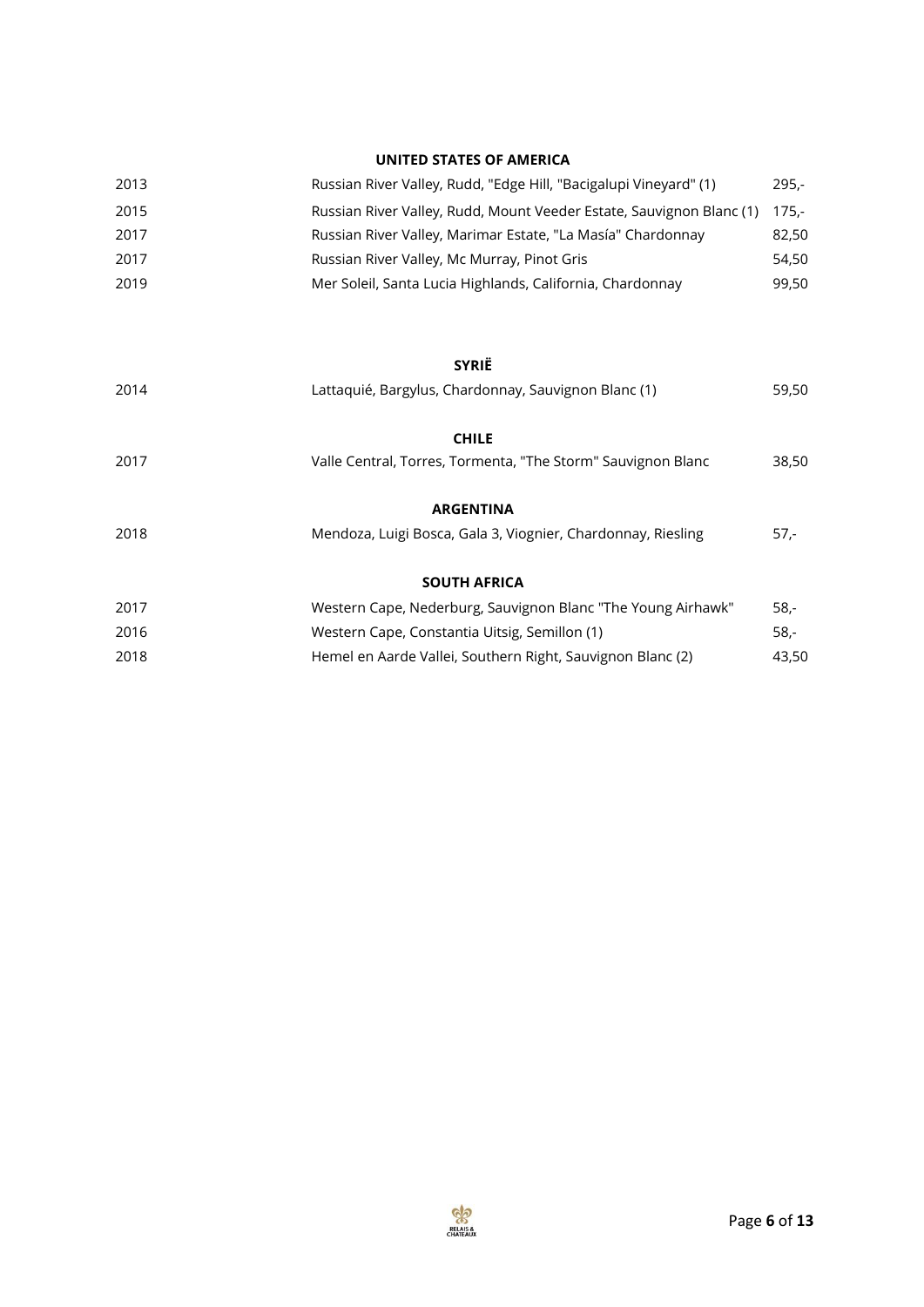# **UNITED STATES OF AMERICA**

| 2013 | Russian River Valley, Rudd, "Edge Hill, "Bacigalupi Vineyard" (1)    | $295 -$ |
|------|----------------------------------------------------------------------|---------|
| 2015 | Russian River Valley, Rudd, Mount Veeder Estate, Sauvignon Blanc (1) | 175.-   |
| 2017 | Russian River Valley, Marimar Estate, "La Masía" Chardonnay          | 82,50   |
| 2017 | Russian River Valley, Mc Murray, Pinot Gris                          | 54.50   |
| 2019 | Mer Soleil, Santa Lucia Highlands, California, Chardonnay            | 99.50   |

#### **SYRIË**

| 2014 | Lattaquié, Bargylus, Chardonnay, Sauvignon Blanc (1)         | 59,50  |
|------|--------------------------------------------------------------|--------|
|      | <b>CHILE</b>                                                 |        |
| 2017 | Valle Central, Torres, Tormenta, "The Storm" Sauvignon Blanc | 38,50  |
|      | <b>ARGENTINA</b>                                             |        |
| 2018 | Mendoza, Luigi Bosca, Gala 3, Viognier, Chardonnay, Riesling | $57 -$ |
|      | <b>SOUTH AFRICA</b>                                          |        |
| 2017 | Western Cape, Nederburg, Sauvignon Blanc "The Young Airhawk" | $58 -$ |
| 2016 | Western Cape, Constantia Uitsig, Semillon (1)                | $58 -$ |
| 2018 | Hemel en Aarde Vallei, Southern Right, Sauvignon Blanc (2)   | 43,50  |

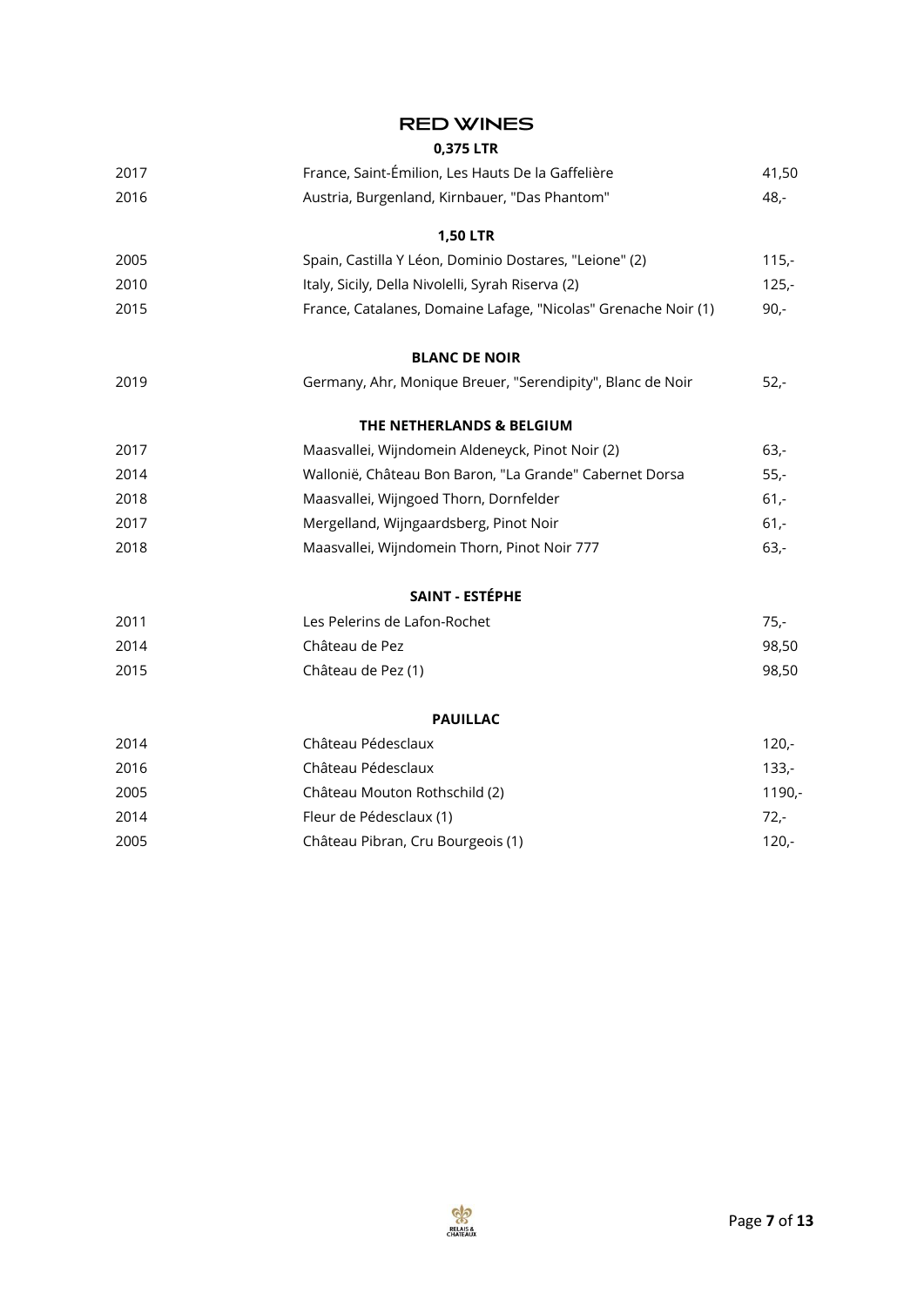| <b>RED WINES</b> |  |  |
|------------------|--|--|
|------------------|--|--|

**0,375 LTR**

| 2017 | France, Saint-Émilion, Les Hauts De la Gaffelière              | 41,50   |
|------|----------------------------------------------------------------|---------|
| 2016 | Austria, Burgenland, Kirnbauer, "Das Phantom"                  | $48,-$  |
|      | <b>1,50 LTR</b>                                                |         |
| 2005 | Spain, Castilla Y Léon, Dominio Dostares, "Leione" (2)         | $115,-$ |
| 2010 | Italy, Sicily, Della Nivolelli, Syrah Riserva (2)              | $125 -$ |
| 2015 | France, Catalanes, Domaine Lafage, "Nicolas" Grenache Noir (1) | $90 -$  |
|      | <b>BLANC DE NOIR</b>                                           |         |
| 2019 | Germany, Ahr, Monique Breuer, "Serendipity", Blanc de Noir     | $52 -$  |
|      | THE NETHERLANDS & BELGIUM                                      |         |
| 2017 | Maasvallei, Wijndomein Aldeneyck, Pinot Noir (2)               | $63 -$  |
| 2014 | Wallonië, Château Bon Baron, "La Grande" Cabernet Dorsa        | $55,-$  |
| 2018 | Maasvallei, Wijngoed Thorn, Dornfelder                         | $61 -$  |
| 2017 | Mergelland, Wijngaardsberg, Pinot Noir                         | $61 -$  |
| 2018 | Maasvallei, Wijndomein Thorn, Pinot Noir 777                   | $63 -$  |
|      | SAINT - ESTÉPHE                                                |         |
| 2011 | Les Pelerins de Lafon-Rochet                                   | $75,-$  |
| 2014 | Château de Pez                                                 | 98,50   |
| 2015 | Château de Pez (1)                                             | 98,50   |
|      | <b>PAUILLAC</b>                                                |         |
| 2014 | Château Pédesclaux                                             | $120 -$ |
| 2016 | Château Pédesclaux                                             | $133 -$ |
| 2005 | Château Mouton Rothschild (2)                                  | 1190,-  |
| 2014 | Fleur de Pédesclaux (1)                                        | $72 -$  |
| 2005 | Château Pibran, Cru Bourgeois (1)                              | $120 -$ |
|      |                                                                |         |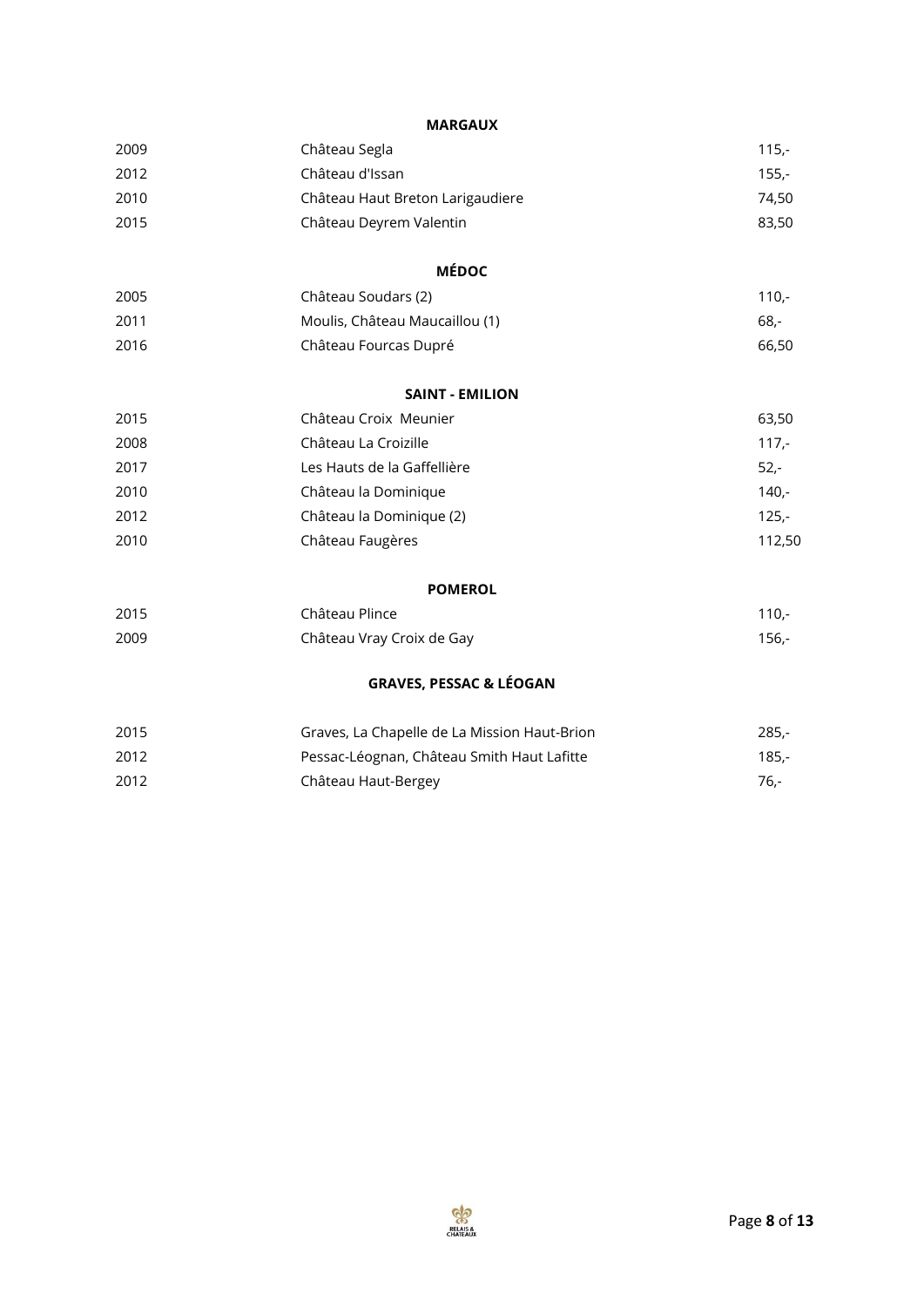#### **MARGAUX**

| 2009                                                     | Château Segla                     | $115,-$        |
|----------------------------------------------------------|-----------------------------------|----------------|
| 2012                                                     | Château d'Issan                   | $155,-$        |
| 2010                                                     | Château Haut Breton Larigaudiere  | 74,50          |
| 2015                                                     | Château Deyrem Valentin           | 83,50          |
|                                                          | <b>MÉDOC</b>                      |                |
| 2005                                                     | Château Soudars (2)               | $110,-$        |
| 2011                                                     | Moulis, Château Maucaillou (1)    | $68 -$         |
| 2016                                                     | Château Fourcas Dupré             | 66,50          |
|                                                          | <b>SAINT - EMILION</b>            |                |
| 2015                                                     | Château Croix Meunier             | 63,50          |
| 2008                                                     | Château La Croizille              | $117 -$        |
| 2017                                                     | Les Hauts de la Gaffellière       | $52 -$         |
| 2010                                                     | Château la Dominique              | 140,-          |
| 2012                                                     | Château la Dominique (2)          | $125 -$        |
| 2010                                                     | Château Faugères                  | 112,50         |
|                                                          | <b>POMEROL</b>                    |                |
| $\mathbf{a} \mathbf{b} \mathbf{c} \mathbf{b} \mathbf{c}$ | $-1$ $\wedge$ .<br>$\sim$ $\cdot$ | $\overline{A}$ |

| 2015 | Château Plince            | 110.- |
|------|---------------------------|-------|
| 2009 | Château Vray Croix de Gay | 156.- |

# **GRAVES, PESSAC & LÉOGAN**

| 2015 | Graves, La Chapelle de La Mission Haut-Brion | 285.- |
|------|----------------------------------------------|-------|
| 2012 | Pessac-Léognan, Château Smith Haut Lafitte   | 185.- |
| 2012 | Château Haut-Bergey                          | 76.-  |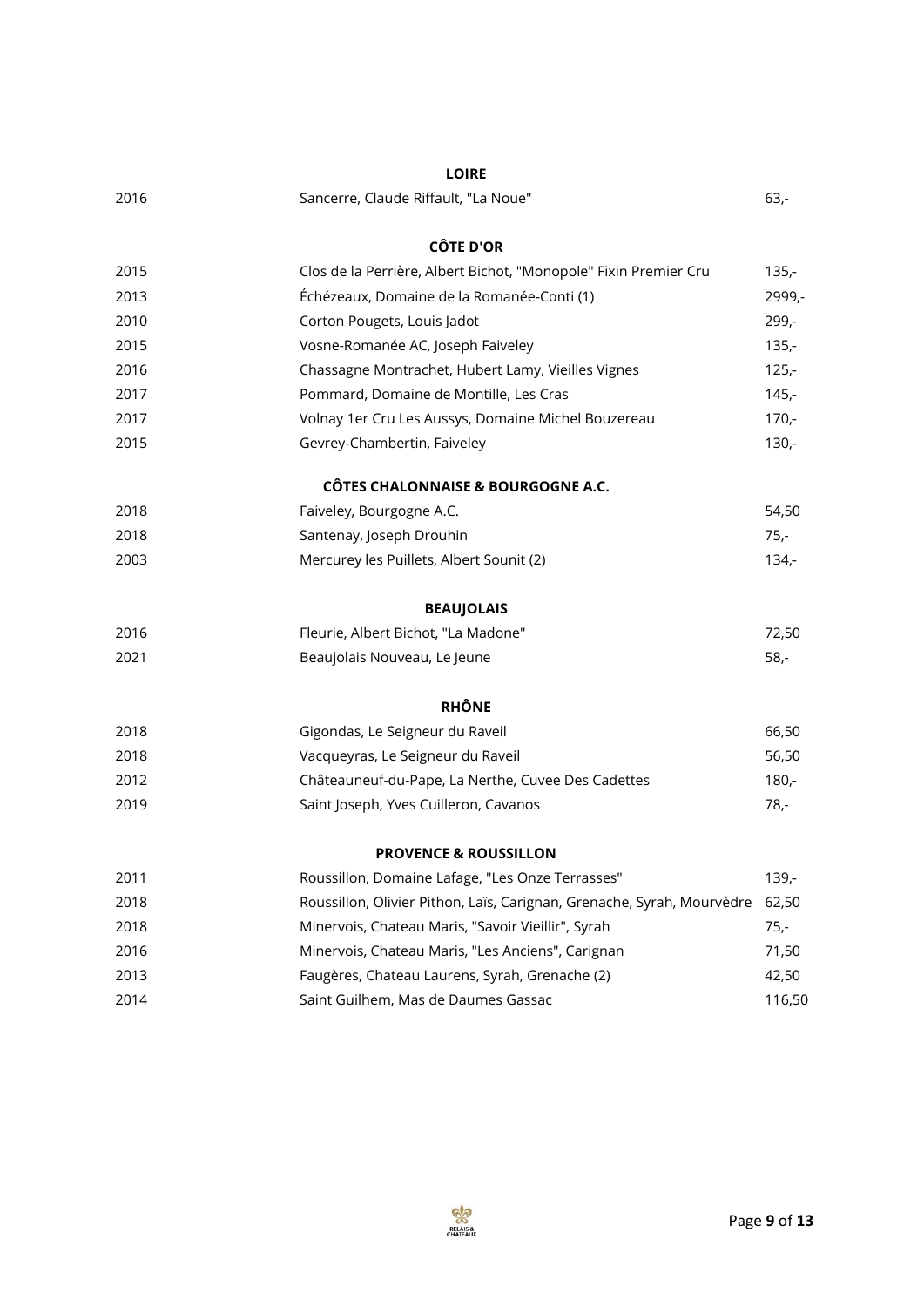|      | <b>LOIRE</b>                                                           |         |
|------|------------------------------------------------------------------------|---------|
| 2016 | Sancerre, Claude Riffault, "La Noue"                                   | $63 -$  |
|      | <b>CÔTE D'OR</b>                                                       |         |
| 2015 | Clos de la Perrière, Albert Bichot, "Monopole" Fixin Premier Cru       | $135 -$ |
| 2013 | Échézeaux, Domaine de la Romanée-Conti (1)                             | 2999,-  |
| 2010 | Corton Pougets, Louis Jadot                                            | $299 -$ |
| 2015 | Vosne-Romanée AC, Joseph Faiveley                                      | $135 -$ |
| 2016 | Chassagne Montrachet, Hubert Lamy, Vieilles Vignes                     | $125 -$ |
| 2017 | Pommard, Domaine de Montille, Les Cras                                 | $145 -$ |
| 2017 | Volnay 1er Cru Les Aussys, Domaine Michel Bouzereau                    | $170 -$ |
| 2015 | Gevrey-Chambertin, Faiveley                                            | $130 -$ |
|      | <b>CÔTES CHALONNAISE &amp; BOURGOGNE A.C.</b>                          |         |
| 2018 | Faiveley, Bourgogne A.C.                                               | 54,50   |
| 2018 | Santenay, Joseph Drouhin                                               | $75 -$  |
| 2003 | Mercurey les Puillets, Albert Sounit (2)                               | $134 -$ |
|      | <b>BEAUJOLAIS</b>                                                      |         |
| 2016 | Fleurie, Albert Bichot, "La Madone"                                    | 72,50   |
| 2021 | Beaujolais Nouveau, Le Jeune                                           | $58 -$  |
|      | <b>RHÔNE</b>                                                           |         |
| 2018 | Gigondas, Le Seigneur du Raveil                                        | 66,50   |
| 2018 | Vacqueyras, Le Seigneur du Raveil                                      | 56,50   |
| 2012 | Châteauneuf-du-Pape, La Nerthe, Cuvee Des Cadettes                     | $180 -$ |
| 2019 | Saint Joseph, Yves Cuilleron, Cavanos                                  | 78,-    |
|      | <b>PROVENCE &amp; ROUSSILLON</b>                                       |         |
| 2011 | Roussillon, Domaine Lafage, "Les Onze Terrasses"                       | $139 -$ |
| 2018 | Roussillon, Olivier Pithon, Laïs, Carignan, Grenache, Syrah, Mourvèdre | 62,50   |
| 2018 | Minervois, Chateau Maris, "Savoir Vieillir", Syrah                     | $75 -$  |
| 2016 | Minervois, Chateau Maris, "Les Anciens", Carignan                      | 71,50   |
| 2013 | Faugères, Chateau Laurens, Syrah, Grenache (2)                         | 42,50   |
| 2014 | Saint Guilhem, Mas de Daumes Gassac                                    | 116,50  |

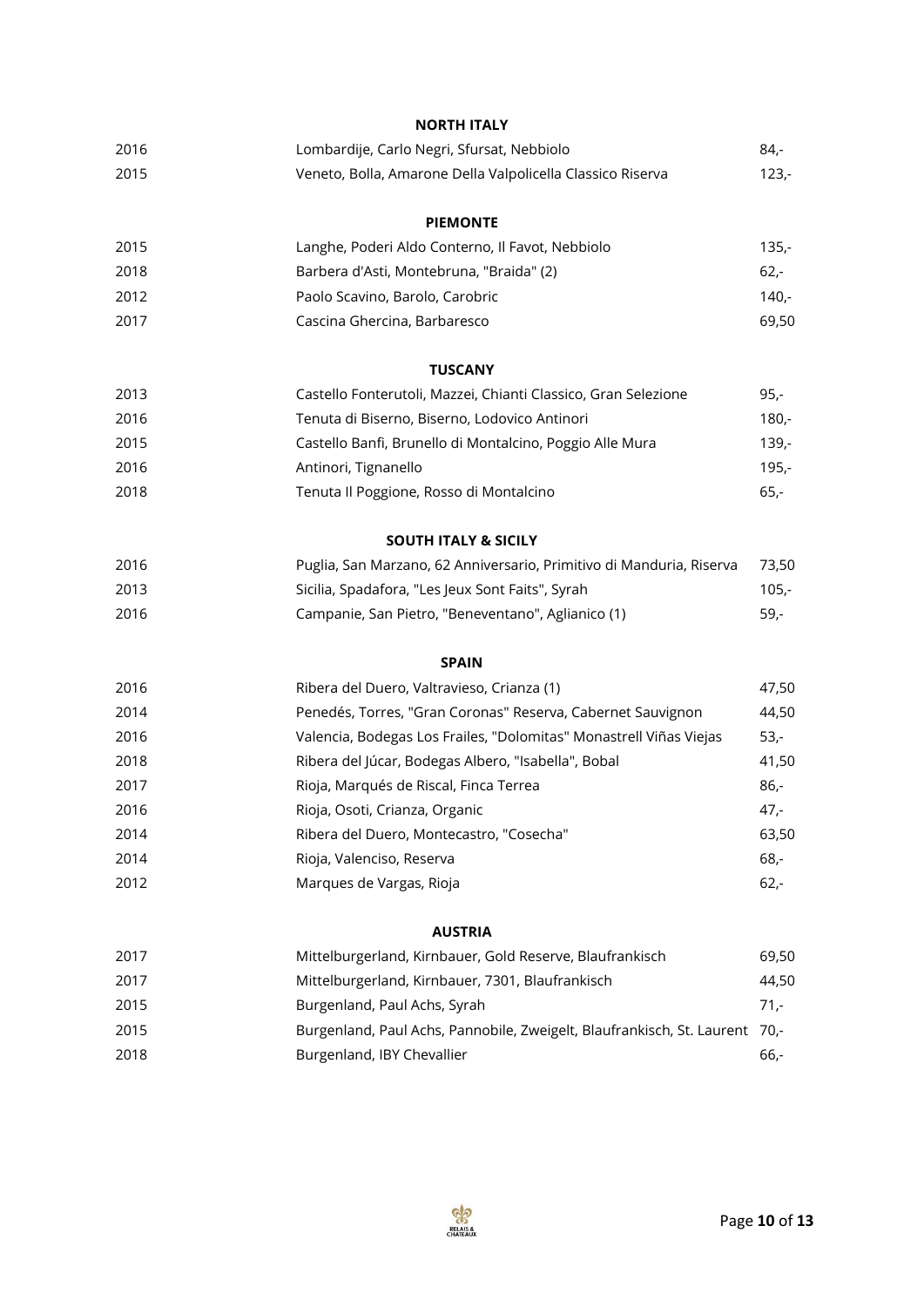|      | <b>NORTH ITALY</b>                                                   |         |
|------|----------------------------------------------------------------------|---------|
| 2016 | Lombardije, Carlo Negri, Sfursat, Nebbiolo                           | 84,-    |
| 2015 | Veneto, Bolla, Amarone Della Valpolicella Classico Riserva           | $123 -$ |
|      | <b>PIEMONTE</b>                                                      |         |
| 2015 | Langhe, Poderi Aldo Conterno, Il Favot, Nebbiolo                     | $135,-$ |
| 2018 | Barbera d'Asti, Montebruna, "Braida" (2)                             | $62 -$  |
| 2012 | Paolo Scavino, Barolo, Carobric                                      | $140 -$ |
| 2017 | Cascina Ghercina, Barbaresco                                         | 69,50   |
|      | <b>TUSCANY</b>                                                       |         |
| 2013 | Castello Fonterutoli, Mazzei, Chianti Classico, Gran Selezione       | $95 -$  |
| 2016 | Tenuta di Biserno, Biserno, Lodovico Antinori                        | $180 -$ |
| 2015 | Castello Banfi, Brunello di Montalcino, Poggio Alle Mura             | $139 -$ |
| 2016 | Antinori, Tignanello                                                 | $195 -$ |
| 2018 | Tenuta Il Poggione, Rosso di Montalcino                              | $65 -$  |
|      | <b>SOUTH ITALY &amp; SICILY</b>                                      |         |
| 2016 | Puglia, San Marzano, 62 Anniversario, Primitivo di Manduria, Riserva | 73,50   |
| 2013 | Sicilia, Spadafora, "Les Jeux Sont Faits", Syrah                     | $105 -$ |
| 2016 | Campanie, San Pietro, "Beneventano", Aglianico (1)                   | 59,-    |
|      | <b>SPAIN</b>                                                         |         |
| 2016 | Ribera del Duero, Valtravieso, Crianza (1)                           | 47,50   |
| 2014 | Penedés, Torres, "Gran Coronas" Reserva, Cabernet Sauvignon          | 44,50   |
| 2016 | Valencia, Bodegas Los Frailes, "Dolomitas" Monastrell Viñas Viejas   | 53,-    |
| 2018 | Ribera del Júcar, Bodegas Albero, "Isabella", Bobal                  | 41,50   |
| 2017 | Rioja, Marqués de Riscal, Finca Terrea                               | 86,-    |
| 2016 | Rioja, Osoti, Crianza, Organic                                       | 47,-    |
| 2014 | Ribera del Duero, Montecastro, "Cosecha"                             | 63,50   |
| 2014 | Rioja, Valenciso, Reserva                                            | $68 -$  |
| 2012 | Marques de Vargas, Rioja                                             | $62 -$  |
|      | <b>AUSTRIA</b>                                                       |         |
| 2017 | Mittelburgerland, Kirnbauer, Gold Reserve, Blaufrankisch             | 69,50   |

| 20 I Z | <u>MILLEIDUI EEI IAHU, KIHIDAUEI , QOIU KESEI VE, DIAUH AHKISCH</u>         | טט,כט  |
|--------|-----------------------------------------------------------------------------|--------|
| 2017   | Mittelburgerland, Kirnbauer, 7301, Blaufrankisch                            | 44.50  |
| 2015   | Burgenland, Paul Achs, Syrah                                                | $71 -$ |
| 2015   | Burgenland, Paul Achs, Pannobile, Zweigelt, Blaufrankisch, St. Laurent 70,- |        |
| 2018   | Burgenland, IBY Chevallier                                                  | -66.   |

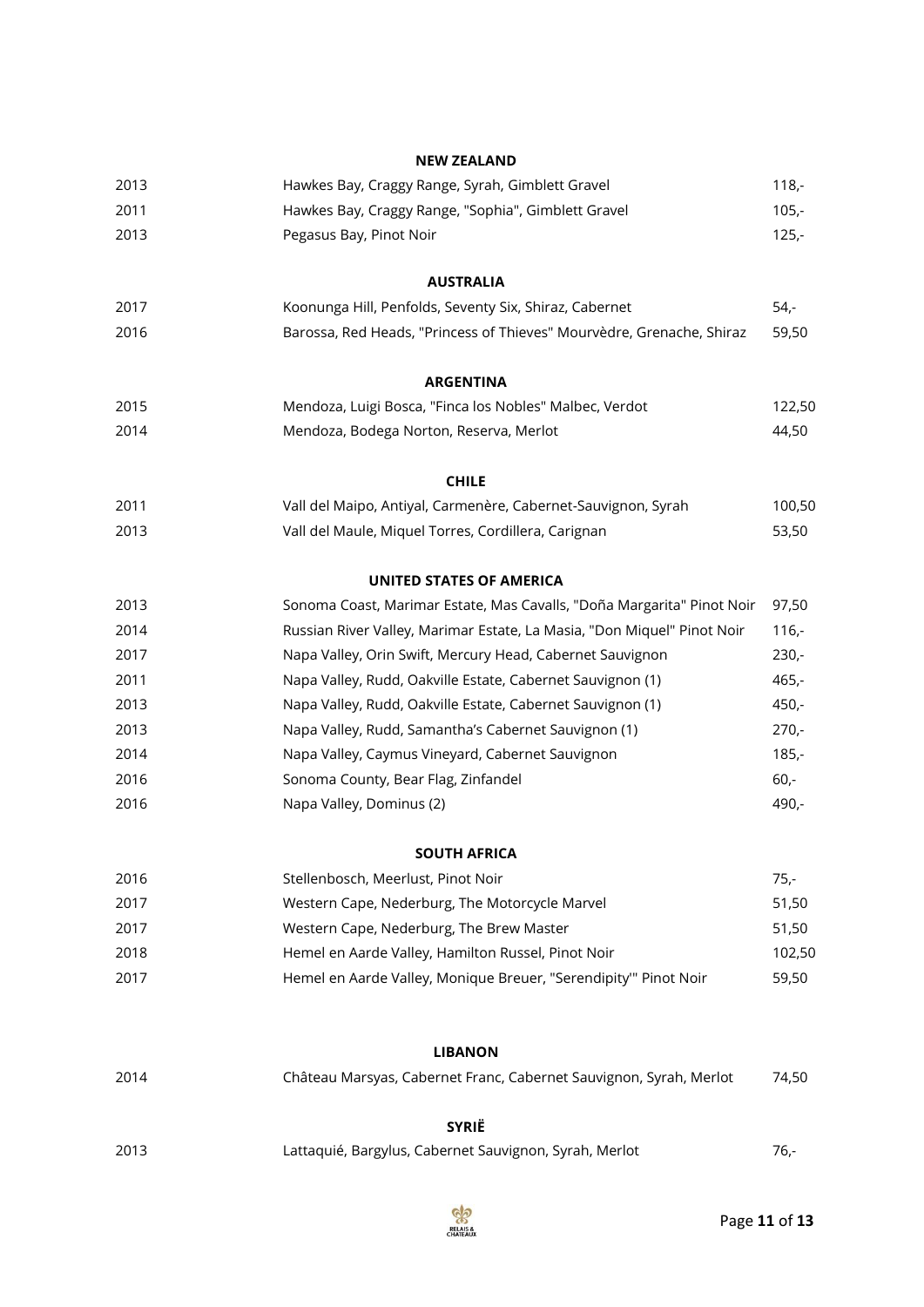|      | <b>NEW ZEALAND</b>                                                                   |         |
|------|--------------------------------------------------------------------------------------|---------|
| 2013 | Hawkes Bay, Craggy Range, Syrah, Gimblett Gravel                                     | $118,-$ |
| 2011 | Hawkes Bay, Craggy Range, "Sophia", Gimblett Gravel                                  | $105,-$ |
| 2013 | Pegasus Bay, Pinot Noir                                                              | $125 -$ |
|      | <b>AUSTRALIA</b>                                                                     |         |
| 2017 | Koonunga Hill, Penfolds, Seventy Six, Shiraz, Cabernet                               | $54,-$  |
| 2016 | Barossa, Red Heads, "Princess of Thieves" Mourvèdre, Grenache, Shiraz                | 59,50   |
|      | <b>ARGENTINA</b>                                                                     |         |
| 2015 | Mendoza, Luigi Bosca, "Finca los Nobles" Malbec, Verdot                              | 122,50  |
| 2014 | Mendoza, Bodega Norton, Reserva, Merlot                                              | 44,50   |
|      | <b>CHILE</b>                                                                         |         |
| 2011 | Vall del Maipo, Antiyal, Carmenère, Cabernet-Sauvignon, Syrah                        | 100,50  |
| 2013 | Vall del Maule, Miquel Torres, Cordillera, Carignan                                  | 53,50   |
|      | <b>UNITED STATES OF AMERICA</b>                                                      |         |
| 2013 | Sonoma Coast, Marimar Estate, Mas Cavalls, "Doña Margarita" Pinot Noir               | 97,50   |
| 2014 | Russian River Valley, Marimar Estate, La Masia, "Don Miquel" Pinot Noir              | $116,-$ |
| 2017 | Napa Valley, Orin Swift, Mercury Head, Cabernet Sauvignon                            | $230 -$ |
| 2011 | Napa Valley, Rudd, Oakville Estate, Cabernet Sauvignon (1)                           | $465,-$ |
| 2013 | Napa Valley, Rudd, Oakville Estate, Cabernet Sauvignon (1)                           | $450 -$ |
| 2013 | Napa Valley, Rudd, Samantha's Cabernet Sauvignon (1)                                 | $270 -$ |
| 2014 | Napa Valley, Caymus Vineyard, Cabernet Sauvignon                                     | $185,-$ |
| 2016 | Sonoma County, Bear Flag, Zinfandel                                                  | $60 -$  |
| 2016 | Napa Valley, Dominus (2)                                                             | 490,-   |
|      | <b>SOUTH AFRICA</b>                                                                  |         |
| 2016 | Stellenbosch, Meerlust, Pinot Noir                                                   | $75 -$  |
| 2017 | Western Cape, Nederburg, The Motorcycle Marvel                                       | 51,50   |
| 2017 | Western Cape, Nederburg, The Brew Master                                             | 51,50   |
| 2018 | Hemel en Aarde Valley, Hamilton Russel, Pinot Noir                                   | 102,50  |
| 2017 | Hemel en Aarde Valley, Monique Breuer, "Serendipity" Pinot Noir                      | 59,50   |
|      |                                                                                      |         |
| 2014 | <b>LIBANON</b><br>Château Marsyas, Cabernet Franc, Cabernet Sauvignon, Syrah, Merlot | 74,50   |
|      | <b>SYRIË</b>                                                                         |         |
| 2013 | Lattaquié, Bargylus, Cabernet Sauvignon, Syrah, Merlot                               | $76 -$  |
|      |                                                                                      |         |

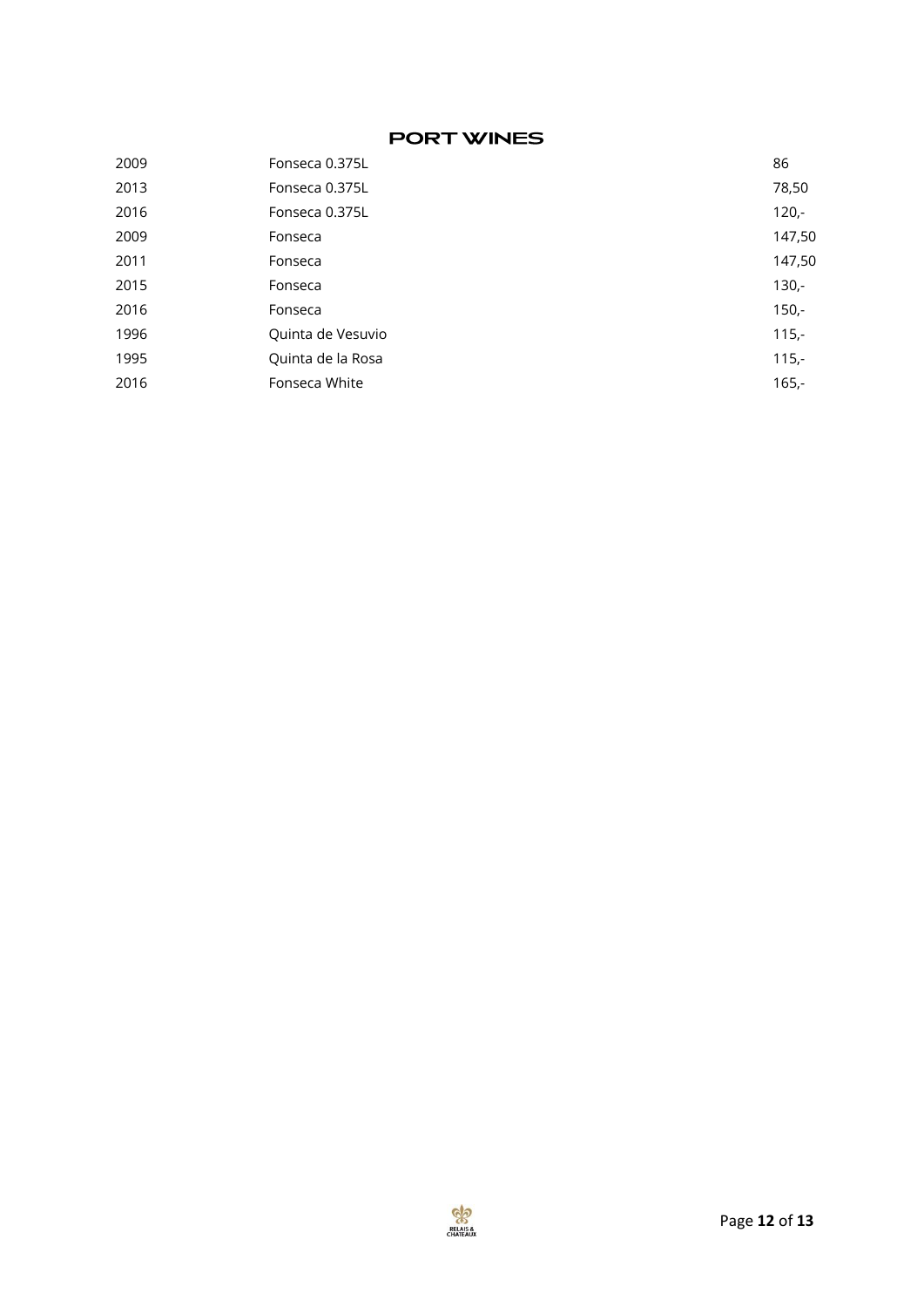# **PORT WINES**

| 2009 | Fonseca 0.375L    | 86      |
|------|-------------------|---------|
| 2013 | Fonseca 0.375L    | 78,50   |
| 2016 | Fonseca 0.375L    | $120 -$ |
| 2009 | Fonseca           | 147,50  |
| 2011 | Fonseca           | 147,50  |
| 2015 | Fonseca           | $130 -$ |
| 2016 | Fonseca           | $150 -$ |
| 1996 | Quinta de Vesuvio | $115,-$ |
| 1995 | Quinta de la Rosa | $115,-$ |
| 2016 | Fonseca White     | $165,-$ |
|      |                   |         |